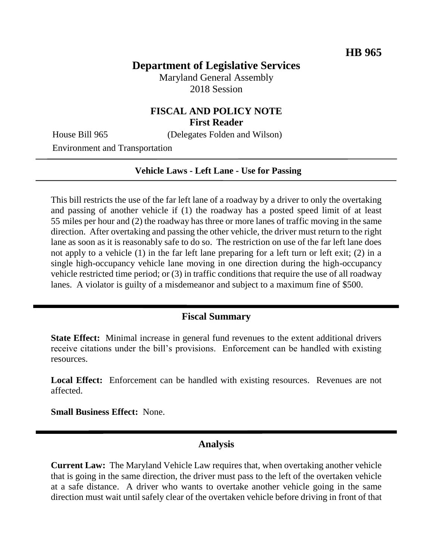### **Department of Legislative Services**

Maryland General Assembly 2018 Session

#### **FISCAL AND POLICY NOTE First Reader**

House Bill 965 (Delegates Folden and Wilson)

Environment and Transportation

# **Vehicle Laws - Left Lane - Use for Passing**

This bill restricts the use of the far left lane of a roadway by a driver to only the overtaking and passing of another vehicle if (1) the roadway has a posted speed limit of at least 55 miles per hour and (2) the roadway has three or more lanes of traffic moving in the same direction. After overtaking and passing the other vehicle, the driver must return to the right lane as soon as it is reasonably safe to do so. The restriction on use of the far left lane does not apply to a vehicle (1) in the far left lane preparing for a left turn or left exit; (2) in a single high-occupancy vehicle lane moving in one direction during the high-occupancy vehicle restricted time period; or (3) in traffic conditions that require the use of all roadway lanes. A violator is guilty of a misdemeanor and subject to a maximum fine of \$500.

### **Fiscal Summary**

**State Effect:** Minimal increase in general fund revenues to the extent additional drivers receive citations under the bill's provisions. Enforcement can be handled with existing resources.

Local Effect: Enforcement can be handled with existing resources. Revenues are not affected.

**Small Business Effect:** None.

#### **Analysis**

**Current Law:** The Maryland Vehicle Law requires that, when overtaking another vehicle that is going in the same direction, the driver must pass to the left of the overtaken vehicle at a safe distance. A driver who wants to overtake another vehicle going in the same direction must wait until safely clear of the overtaken vehicle before driving in front of that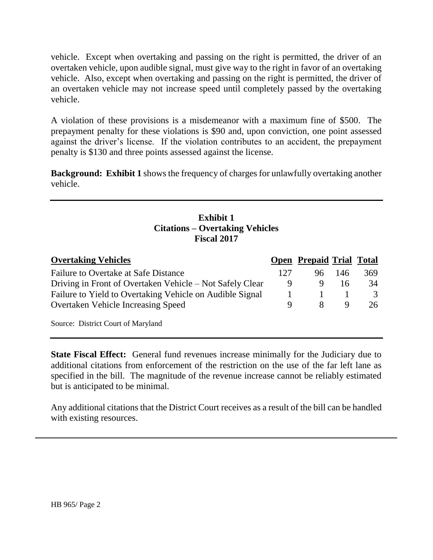vehicle. Except when overtaking and passing on the right is permitted, the driver of an overtaken vehicle, upon audible signal, must give way to the right in favor of an overtaking vehicle. Also, except when overtaking and passing on the right is permitted, the driver of an overtaken vehicle may not increase speed until completely passed by the overtaking vehicle.

A violation of these provisions is a misdemeanor with a maximum fine of \$500. The prepayment penalty for these violations is \$90 and, upon conviction, one point assessed against the driver's license. If the violation contributes to an accident, the prepayment penalty is \$130 and three points assessed against the license.

**Background: Exhibit 1** shows the frequency of charges for unlawfully overtaking another vehicle.

## **Exhibit 1 Citations – Overtaking Vehicles Fiscal 2017**

| <b>Overtaking Vehicles</b>                               |     | <b>Open Prepaid Trial Total</b> |     |     |
|----------------------------------------------------------|-----|---------------------------------|-----|-----|
| Failure to Overtake at Safe Distance                     | 127 | 96                              | 146 | 369 |
| Driving in Front of Overtaken Vehicle – Not Safely Clear | 9   | 9                               | 16  | 34  |
| Failure to Yield to Overtaking Vehicle on Audible Signal |     |                                 |     | 3   |
| <b>Overtaken Vehicle Increasing Speed</b>                | 9   |                                 |     | 26  |
| Source: District Court of Maryland                       |     |                                 |     |     |

**State Fiscal Effect:** General fund revenues increase minimally for the Judiciary due to additional citations from enforcement of the restriction on the use of the far left lane as specified in the bill. The magnitude of the revenue increase cannot be reliably estimated but is anticipated to be minimal.

Any additional citations that the District Court receives as a result of the bill can be handled with existing resources.